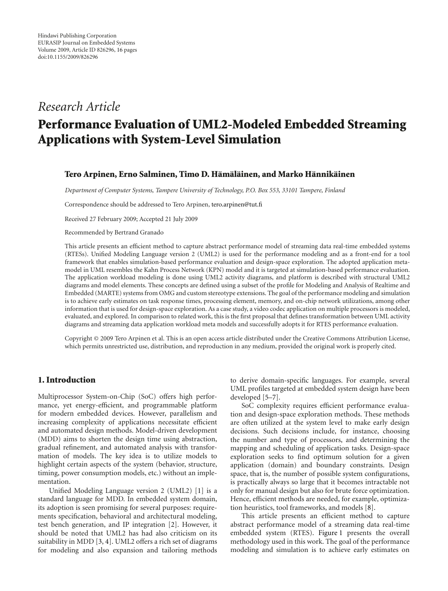# *Research Article*

# **Performance Evaluation of UML2-Modeled Embedded Streaming Applications with System-Level Simulation**

#### $T$  **Tero Arpinen, Erno Salminen, Timo D. Hämäläinen, and Marko Hännikäinen**

*Department of Computer Systems, Tampere University of Technology, P.O. Box 553, 33101 Tampere, Finland*

Correspondence should be addressed to Tero Arpinen, tero.arpinen@tut.fi

Received 27 February 2009; Accepted 21 July 2009

Recommended by Bertrand Granado

This article presents an efficient method to capture abstract performance model of streaming data real-time embedded systems (RTESs). Unified Modeling Language version 2 (UML2) is used for the performance modeling and as a front-end for a tool framework that enables simulation-based performance evaluation and design-space exploration. The adopted application metamodel in UML resembles the Kahn Process Network (KPN) model and it is targeted at simulation-based performance evaluation. The application workload modeling is done using UML2 activity diagrams, and platform is described with structural UML2 diagrams and model elements. These concepts are defined using a subset of the profile for Modeling and Analysis of Realtime and Embedded (MARTE) systems from OMG and custom stereotype extensions. The goal of the performance modeling and simulation is to achieve early estimates on task response times, processing element, memory, and on-chip network utilizations, among other information that is used for design-space exploration. As a case study, a video codec application on multiple processors is modeled, evaluated, and explored. In comparison to related work, this is the first proposal that defines transformation between UML activity diagrams and streaming data application workload meta models and successfully adopts it for RTES performance evaluation.

Copyright © 2009 Tero Arpinen et al. This is an open access article distributed under the Creative Commons Attribution License, which permits unrestricted use, distribution, and reproduction in any medium, provided the original work is properly cited.

#### **1. Introduction**

Multiprocessor System-on-Chip (SoC) offers high performance, yet energy-efficient, and programmable platform for modern embedded devices. However, parallelism and increasing complexity of applications necessitate efficient and automated design methods. Model-driven development (MDD) aims to shorten the design time using abstraction, gradual refinement, and automated analysis with transformation of models. The key idea is to utilize models to highlight certain aspects of the system (behavior, structure, timing, power consumption models, etc.) without an implementation.

Unified Modeling Language version 2 (UML2) [1] is a standard language for MDD. In embedded system domain, its adoption is seen promising for several purposes: requirements specification, behavioral and architectural modeling, test bench generation, and IP integration [2]. However, it should be noted that UML2 has had also criticism on its suitability in MDD [3, 4]. UML2 offers a rich set of diagrams for modeling and also expansion and tailoring methods to derive domain-specific languages. For example, several UML profiles targeted at embedded system design have been developed [5–7].

SoC complexity requires efficient performance evaluation and design-space exploration methods. These methods are often utilized at the system level to make early design decisions. Such decisions include, for instance, choosing the number and type of processors, and determining the mapping and scheduling of application tasks. Design-space exploration seeks to find optimum solution for a given application (domain) and boundary constraints. Design space, that is, the number of possible system configurations, is practically always so large that it becomes intractable not only for manual design but also for brute force optimization. Hence, efficient methods are needed, for example, optimization heuristics, tool frameworks, and models [8].

This article presents an efficient method to capture abstract performance model of a streaming data real-time embedded system (RTES). Figure 1 presents the overall methodology used in this work. The goal of the performance modeling and simulation is to achieve early estimates on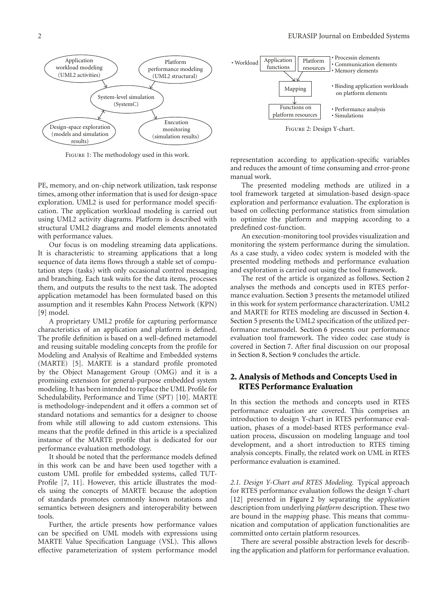

Figure 1: The methodology used in this work.

PE, memory, and on-chip network utilization, task response times, among other information that is used for design-space exploration. UML2 is used for performance model specification. The application workload modeling is carried out using UML2 activity diagrams. Platform is described with structural UML2 diagrams and model elements annotated with performance values.

Our focus is on modeling streaming data applications. It is characteristic to streaming applications that a long sequence of data items flows through a stable set of computation steps (tasks) with only occasional control messaging and branching. Each task waits for the data items, processes them, and outputs the results to the next task. The adopted application metamodel has been formulated based on this assumption and it resembles Kahn Process Network (KPN) [9] model.

A proprietary UML2 profile for capturing performance characteristics of an application and platform is defined. The profile definition is based on a well-defined metamodel and reusing suitable modeling concepts from the profile for Modeling and Analysis of Realtime and Embedded systems (MARTE) [5]. MARTE is a standard profile promoted by the Object Management Group (OMG) and it is a promising extension for general-purpose embedded system modeling. It has been intended to replace the UML Profile for Schedulability, Performance and Time (SPT) [10]. MARTE is methodology-independent and it offers a common set of standard notations and semantics for a designer to choose from while still allowing to add custom extensions. This means that the profile defined in this article is a specialized instance of the MARTE profile that is dedicated for our performance evaluation methodology.

It should be noted that the performance models defined in this work can be and have been used together with a custom UML profile for embedded systems, called TUT-Profile [7, 11]. However, this article illustrates the models using the concepts of MARTE because the adoption of standards promotes commonly known notations and semantics between designers and interoperability between tools.

Further, the article presents how performance values can be specified on UML models with expressions using MARTE Value Specification Language (VSL). This allows effective parameterization of system performance model





representation according to application-specific variables and reduces the amount of time consuming and error-prone manual work.

The presented modeling methods are utilized in a tool framework targeted at simulation-based design-space exploration and performance evaluation. The exploration is based on collecting performance statistics from simulation to optimize the platform and mapping according to a predefined cost-function.

An execution-monitoring tool provides visualization and monitoring the system performance during the simulation. As a case study, a video codec system is modeled with the presented modeling methods and performance evaluation and exploration is carried out using the tool framework.

The rest of the article is organized as follows. Section 2 analyses the methods and concepts used in RTES performance evaluation. Section 3 presents the metamodel utilized in this work for system performance characterization. UML2 and MARTE for RTES modeling are discussed in Section 4. Section 5 presents the UML2 specification of the utilized performance metamodel. Section 6 presents our performance evaluation tool framework. The video codec case study is covered in Section 7. After final discussion on our proposal in Section 8, Section 9 concludes the article.

# **2. Analysis of Methods and Concepts Used in RTES Performance Evaluation**

In this section the methods and concepts used in RTES performance evaluation are covered. This comprises an introduction to design Y-chart in RTES performance evaluation, phases of a model-based RTES performance evaluation process, discussion on modeling language and tool development, and a short introduction to RTES timing analysis concepts. Finally, the related work on UML in RTES performance evaluation is examined.

*2.1. Design Y-Chart and RTES Modeling.* Typical approach for RTES performance evaluation follows the design Y-chart [12] presented in Figure 2 by separating the *application* description from underlying *platform* description. These two are bound in the *mapping* phase. This means that communication and computation of application functionalities are committed onto certain platform resources.

There are several possible abstraction levels for describing the application and platform for performance evaluation.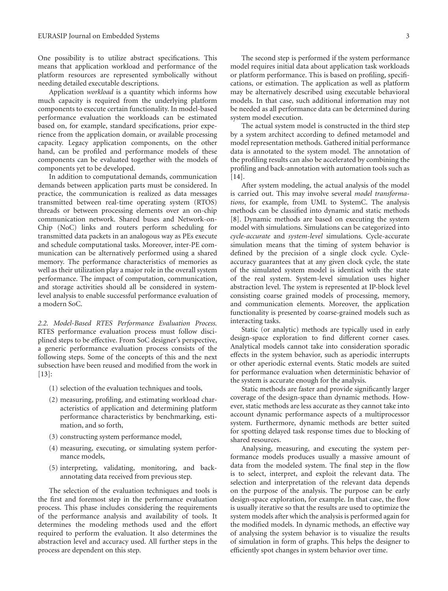One possibility is to utilize abstract specifications. This means that application workload and performance of the platform resources are represented symbolically without needing detailed executable descriptions.

Application *workload* is a quantity which informs how much capacity is required from the underlying platform components to execute certain functionality. In model-based performance evaluation the workloads can be estimated based on, for example, standard specifications, prior experience from the application domain, or available processing capacity. Legacy application components, on the other hand, can be profiled and performance models of these components can be evaluated together with the models of components yet to be developed.

In addition to computational demands, communication demands between application parts must be considered. In practice, the communication is realized as data messages transmitted between real-time operating system (RTOS) threads or between processing elements over an on-chip communication network. Shared buses and Network-on-Chip (NoC) links and routers perform scheduling for transmitted data packets in an analogous way as PEs execute and schedule computational tasks. Moreover, inter-PE communication can be alternatively performed using a shared memory. The performance characteristics of memories as well as their utilization play a major role in the overall system performance. The impact of computation, communication, and storage activities should all be considered in systemlevel analysis to enable successful performance evaluation of a modern SoC.

*2.2. Model-Based RTES Performance Evaluation Process.* RTES performance evaluation process must follow disciplined steps to be effective. From SoC designer's perspective, a generic performance evaluation process consists of the following steps. Some of the concepts of this and the next subsection have been reused and modified from the work in [13]:

- (1) selection of the evaluation techniques and tools,
- (2) measuring, profiling, and estimating workload characteristics of application and determining platform performance characteristics by benchmarking, estimation, and so forth,
- (3) constructing system performance model,
- (4) measuring, executing, or simulating system performance models,
- (5) interpreting, validating, monitoring, and backannotating data received from previous step.

The selection of the evaluation techniques and tools is the first and foremost step in the performance evaluation process. This phase includes considering the requirements of the performance analysis and availability of tools. It determines the modeling methods used and the effort required to perform the evaluation. It also determines the abstraction level and accuracy used. All further steps in the process are dependent on this step.

The second step is performed if the system performance model requires initial data about application task workloads or platform performance. This is based on profiling, specifications, or estimation. The application as well as platform may be alternatively described using executable behavioral models. In that case, such additional information may not be needed as all performance data can be determined during system model execution.

The actual system model is constructed in the third step by a system architect according to defined metamodel and model representation methods. Gathered initial performance data is annotated to the system model. The annotation of the profiling results can also be accelerated by combining the profiling and back-annotation with automation tools such as [14].

After system modeling, the actual analysis of the model is carried out. This may involve several *model transformations*, for example, from UML to SystemC. The analysis methods can be classified into dynamic and static methods [8]. Dynamic methods are based on executing the system model with simulations. Simulations can be categorized into *cycle-accurate* and *system-level* simulations. Cycle-accurate simulation means that the timing of system behavior is defined by the precision of a single clock cycle. Cycleaccuracy guarantees that at any given clock cycle, the state of the simulated system model is identical with the state of the real system. System-level simulation uses higher abstraction level. The system is represented at IP-block level consisting coarse grained models of processing, memory, and communication elements. Moreover, the application functionality is presented by coarse-grained models such as interacting tasks.

Static (or analytic) methods are typically used in early design-space exploration to find different corner cases. Analytical models cannot take into consideration sporadic effects in the system behavior, such as aperiodic interrupts or other aperiodic external events. Static models are suited for performance evaluation when deterministic behavior of the system is accurate enough for the analysis.

Static methods are faster and provide significantly larger coverage of the design-space than dynamic methods. However, static methods are less accurate as they cannot take into account dynamic performance aspects of a multiprocessor system. Furthermore, dynamic methods are better suited for spotting delayed task response times due to blocking of shared resources.

Analysing, measuring, and executing the system performance models produces usually a massive amount of data from the modeled system. The final step in the flow is to select, interpret, and exploit the relevant data. The selection and interpretation of the relevant data depends on the purpose of the analysis. The purpose can be early design-space exploration, for example. In that case, the flow is usually iterative so that the results are used to optimize the system models after which the analysis is performed again for the modified models. In dynamic methods, an effective way of analysing the system behavior is to visualize the results of simulation in form of graphs. This helps the designer to efficiently spot changes in system behavior over time.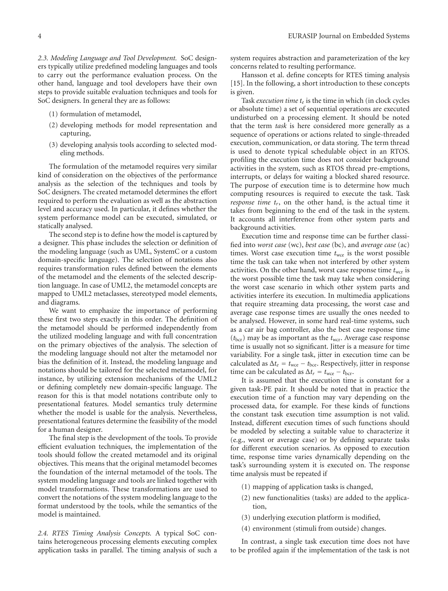*2.3. Modeling Language and Tool Development.* SoC designers typically utilize predefined modeling languages and tools to carry out the performance evaluation process. On the other hand, language and tool developers have their own steps to provide suitable evaluation techniques and tools for SoC designers. In general they are as follows:

- (1) formulation of metamodel,
- (2) developing methods for model representation and capturing,
- (3) developing analysis tools according to selected modeling methods.

The formulation of the metamodel requires very similar kind of consideration on the objectives of the performance analysis as the selection of the techniques and tools by SoC designers. The created metamodel determines the effort required to perform the evaluation as well as the abstraction level and accuracy used. In particular, it defines whether the system performance model can be executed, simulated, or statically analysed.

The second step is to define how the model is captured by a designer. This phase includes the selection or definition of the modeling language (such as UML, SystemC or a custom domain-specific language). The selection of notations also requires transformation rules defined between the elements of the metamodel and the elements of the selected description language. In case of UML2, the metamodel concepts are mapped to UML2 metaclasses, stereotyped model elements, and diagrams.

We want to emphasize the importance of performing these first two steps exactly in this order. The definition of the metamodel should be performed independently from the utilized modeling language and with full concentration on the primary objectives of the analysis. The selection of the modeling language should not alter the metamodel nor bias the definition of it. Instead, the modeling language and notations should be tailored for the selected metamodel, for instance, by utilizing extension mechanisms of the UML2 or defining completely new domain-specific language. The reason for this is that model notations contribute only to presentational features. Model semantics truly determine whether the model is usable for the analysis. Nevertheless, presentational features determine the feasibility of the model for a human designer.

The final step is the development of the tools. To provide efficient evaluation techniques, the implementation of the tools should follow the created metamodel and its original objectives. This means that the original metamodel becomes the foundation of the internal metamodel of the tools. The system modeling language and tools are linked together with model transformations. These transformations are used to convert the notations of the system modeling language to the format understood by the tools, while the semantics of the model is maintained.

*2.4. RTES Timing Analysis Concepts.* A typical SoC contains heterogeneous processing elements executing complex application tasks in parallel. The timing analysis of such a

system requires abstraction and parameterization of the key concerns related to resulting performance.

Hansson et al. define concepts for RTES timing analysis [15]. In the following, a short introduction to these concepts is given.

Task *execution time te* is the time in which (in clock cycles or absolute time) a set of sequential operations are executed undisturbed on a processing element. It should be noted that the term *task* is here considered more generally as a sequence of operations or actions related to single-threaded execution, communication, or data storing. The term thread is used to denote typical schedulable object in an RTOS. profiling the execution time does not consider background activities in the system, such as RTOS thread pre-emptions, interrupts, or delays for waiting a blocked shared resource. The purpose of execution time is to determine how much computing resources is required to execute the task. Task *response time*  $t_r$ , on the other hand, is the actual time it takes from beginning to the end of the task in the system. It accounts all interference from other system parts and background activities.

Execution time and response time can be further classified into *worst case* (wc), *best case* (bc), and *average case* (ac) times. Worst case execution time  $t_{\text{wce}}$  is the worst possible time the task can take when not interfered by other system activities. On the other hand, worst case response time  $t_{\text{wcr}}$  is the worst possible time the task may take when considering the worst case scenario in which other system parts and activities interfere its execution. In multimedia applications that require streaming data processing, the worst case and average case response times are usually the ones needed to be analysed. However, in some hard real-time systems, such as a car air bag controller, also the best case response time  $(t<sub>bcr</sub>)$  may be as important as the  $t<sub>wcr</sub>$ . Average case response time is usually not so significant. Jitter is a measure for time variability. For a single task, jitter in execution time can be calculated as  $\Delta t_e = t_{\text{wce}} - t_{\text{bce}}$ . Respectively, jitter in response time can be calculated as  $\Delta t_r = t_{\text{wce}} - t_{\text{bcr}}$ .

It is assumed that the execution time is constant for a given task-PE pair. It should be noted that in practice the execution time of a function may vary depending on the processed data, for example. For these kinds of functions the constant task execution time assumption is not valid. Instead, different execution times of such functions should be modeled by selecting a suitable value to characterize it (e.g., worst or average case) or by defining separate tasks for different execution scenarios. As opposed to execution time, response time varies dynamically depending on the task's surrounding system it is executed on. The response time analysis must be repeated if

- (1) mapping of application tasks is changed,
- (2) new functionalities (tasks) are added to the application,
- (3) underlying execution platform is modified,
- (4) environment (stimuli from outside) changes.

In contrast, a single task execution time does not have to be profiled again if the implementation of the task is not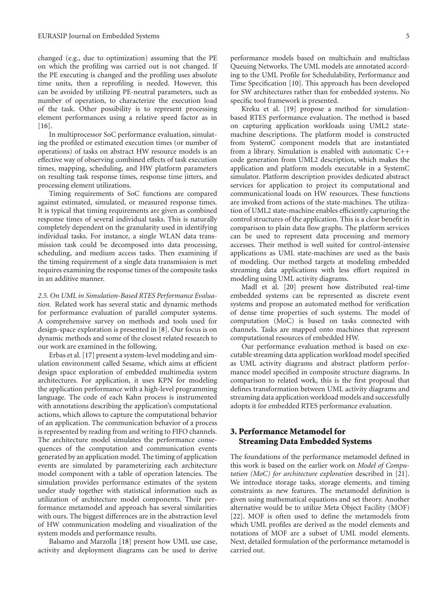changed (e.g., due to optimization) assuming that the PE on which the profiling was carried out is not changed. If the PE executing is changed and the profiling uses absolute time units, then a reprofiling is needed. However, this can be avoided by utilizing PE-neutral parameters, such as number of operation, to characterize the execution load of the task. Other possibility is to represent processing element performances using a relative speed factor as in [16].

In multiprocessor SoC performance evaluation, simulating the profiled or estimated execution times (or number of operations) of tasks on abstract HW resource models is an effective way of observing combined effects of task execution times, mapping, scheduling, and HW platform parameters on resulting task response times, response time jitters, and processing element utilizations.

Timing requirements of SoC functions are compared against estimated, simulated, or measured response times. It is typical that timing requirements are given as combined response times of several individual tasks. This is naturally completely dependent on the granularity used in identifying individual tasks. For instance, a single WLAN data transmission task could be decomposed into data processing, scheduling, and medium access tasks. Then examining if the timing requirement of a single data transmission is met requires examining the response times of the composite tasks in an additive manner.

*2.5. On UML in Simulation-Based RTES Performance Evaluation.* Related work has several static and dynamic methods for performance evaluation of parallel computer systems. A comprehensive survey on methods and tools used for design-space exploration is presented in [8]. Our focus is on dynamic methods and some of the closest related research to our work are examined in the following.

Erbas et al. [17] present a system-level modeling and simulation environment called Sesame, which aims at efficient design space exploration of embedded multimedia system architectures. For application, it uses KPN for modeling the application performance with a high-level programming language. The code of each Kahn process is instrumented with annotations describing the application's computational actions, which allows to capture the computational behavior of an application. The communication behavior of a process is represented by reading from and writing to FIFO channels. The architecture model simulates the performance consequences of the computation and communication events generated by an application model. The timing of application events are simulated by parameterizing each architecture model component with a table of operation latencies. The simulation provides performance estimates of the system under study together with statistical information such as utilization of architecture model components. Their performance metamodel and approach has several similarities with ours. The biggest differences are in the abstraction level of HW communication modeling and visualization of the system models and performance results.

Balsamo and Marzolla [18] present how UML use case, activity and deployment diagrams can be used to derive

performance models based on multichain and multiclass Queuing Networks. The UML models are annotated according to the UML Profile for Schedulability, Performance and Time Specification [10]. This approach has been developed for SW architectures rather than for embedded systems. No specific tool framework is presented.

Kreku et al. [19] propose a method for simulationbased RTES performance evaluation. The method is based on capturing application workloads using UML2 statemachine descriptions. The platform model is constructed from SystemC component models that are instantiated from a library. Simulation is enabled with automatic C++ code generation from UML2 description, which makes the application and platform models executable in a SystemC simulator. Platform description provides dedicated abstract services for application to project its computational and communicational loads on HW resources. These functions are invoked from actions of the state-machines. The utilization of UML2 state-machine enables efficiently capturing the control structures of the application. This is a clear benefit in comparison to plain data flow graphs. The platform services can be used to represent data processing and memory accesses. Their method is well suited for control-intensive applications as UML state-machines are used as the basis of modeling. Our method targets at modeling embedded streaming data applications with less effort required in modeling using UML activity diagrams.

Madl et al. [20] present how distributed real-time embedded systems can be represented as discrete event systems and propose an automated method for verification of dense time properties of such systems. The model of computation (MoC) is based on tasks connected with channels. Tasks are mapped onto machines that represent computational resources of embedded HW.

Our performance evaluation method is based on executable streaming data application workload model specified as UML activity diagrams and abstract platform performance model specified in composite structure diagrams. In comparison to related work, this is the first proposal that defines transformation between UML activity diagrams and streaming data application workload models and successfully adopts it for embedded RTES performance evaluation.

## **3. Performance Metamodel for Streaming Data Embedded Systems**

The foundations of the performance metamodel defined in this work is based on the earlier work on *Model of Computation (MoC) for architecture exploration* described in [21]. We introduce storage tasks, storage elements, and timing constraints as new features. The metamodel definition is given using mathematical equations and set theory. Another alternative would be to utilize Meta Object Facility (MOF) [22]. MOF is often used to define the metamodels from which UML profiles are derived as the model elements and notations of MOF are a subset of UML model elements. Next, detailed formulation of the performance metamodel is carried out.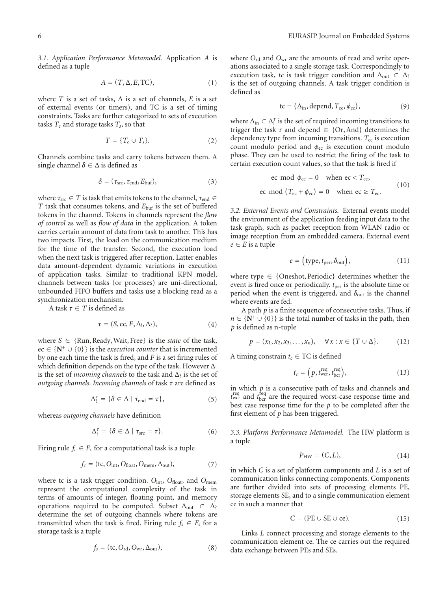*3.1. Application Performance Metamodel.* Application *A* is defined as a tuple

$$
A = (T, \Delta, E, \text{TC}), \tag{1}
$$

where *T* is a set of tasks,  $\Delta$  is a set of channels, *E* is a set of external events (or timers), and TC is a set of timing constraints. Tasks are further categorized to sets of execution tasks  $T_e$  and storage tasks  $T_s$ , so that

$$
T = \{T_e \cup T_s\}.
$$
 (2)

Channels combine tasks and carry tokens between them. A single channel  $\delta \in \Delta$  is defined as

$$
\delta = (\tau_{\rm src}, \tau_{\rm end}, E_{\rm buf}), \tag{3}
$$

where  $\tau_{src} \in T$  is task that emits tokens to the channel,  $\tau_{end} \in$ *T* task that consumes tokens, and  $E_{\text{buf}}$  is the set of buffered tokens in the channel. Tokens in channels represent the *flow of control* as well as *flow of data* in the application. A token carries certain amount of data from task to another. This has two impacts. First, the load on the communication medium for the time of the transfer. Second, the execution load when the next task is triggered after reception. Latter enables data amount-dependent dynamic variations in execution of application tasks. Similar to traditional KPN model, channels between tasks (or processes) are uni-directional, unbounded FIFO buffers and tasks use a blocking read as a synchronization mechanism.

A task  $\tau \in T$  is defined as

$$
\tau = (S, ec, F, \Delta_1, \Delta_2), \tag{4}
$$

where  $S \in \{Run, Ready, Wait, Free\}$  is the *state* of the task, ec ∈ {**N**<sup>+</sup> ∪ {0}} is the *execution counter* that is incremented by one each time the task is fired, and *F* is a set firing rules of which definition depends on the type of the task. However  $\Delta$ ! is the set of *incoming channels* to the task and  $\Delta$ ? is the set of *outgoing channels*. *Incoming channels* of task *τ* are defined as

$$
\Delta_!^{\tau} = \{ \delta \in \Delta \mid \tau_{end} = \tau \}, \tag{5}
$$

whereas *outgoing channels* have definition

$$
\Delta_i^{\tau} = \{ \delta \in \Delta \mid \tau_{\rm src} = \tau \}.
$$
 (6)

Firing rule  $f_c \in F_c$  for a computational task is a tuple

$$
f_c = (\text{tc}, O_{\text{int}}, O_{\text{float}}, O_{\text{mem}}, \Delta_{\text{out}}), \tag{7}
$$

where tc is a task trigger condition. O<sub>int</sub>, Ofloat, and O<sub>mem</sub> represent the computational complexity of the task in terms of amounts of integer, floating point, and memory operations required to be computed. Subset  $Δ_{out} ⊂ Δ$ ? determine the set of outgoing channels where tokens are transmitted when the task is fired. Firing rule  $f_s \in F_s$  for a storage task is a tuple

$$
f_s = (tc, O_{rd}, O_{wr}, \Delta_{out}),
$$
\n(8)

where O<sub>rd</sub> and O<sub>wr</sub> are the amounts of read and write operations associated to a single storage task. Correspondingly to execution task, *tc* is task trigger condition and  $\Delta_{out} \subset \Delta$ ? is the set of outgoing channels. A task trigger condition is defined as

$$
tc = (\Delta_{in}, depend, T_{ec}, \phi_{ec}),
$$
 (9)

where  $\Delta_{\text{in}} \subset \Delta_!^{\tau}$  is the set of required incoming transitions to trigger the task  $\tau$  and depend  $\in$  {Or, And} determines the dependency type from incoming transitions. *T*ec is execution count modulo period and *φ*ec is execution count modulo phase. They can be used to restrict the firing of the task to certain execution count values, so that the task is fired if

$$
ec mod \phi_{ec} = 0 when ec < T_{ec},
$$
  
ec mod  $(T_{ec} + \phi_{ec}) = 0$  when ec  $\geq T_{ec}.$  (10)

*3.2. External Events and Constraints.* External events model the environment of the application feeding input data to the task graph, such as packet reception from WLAN radio or image reception from an embedded camera. External event  $e \in E$  is a tuple

$$
e = \left(\text{type}, t_{\text{per}}, \delta_{\text{out}}\right),\tag{11}
$$

where type  $\in$  {Oneshot, Periodic} determines whether the event is fired once or periodically.  $t_{\text{per}}$  is the absolute time or period when the event is triggered, and  $\delta_{\text{out}}$  is the channel where events are fed.

A path  $p$  is a finite sequence of consecutive tasks. Thus, if *n* ∈ {**N**<sup>+</sup> ∪ {0}} is the total number of tasks in the path, then *p* is defined as n-tuple

$$
p = (x_1, x_2, x_3, \dots, x_n), \quad \forall x : x \in \{T \cup \Delta\}.
$$
 (12)

A timing constrain  $t_c \in \text{TC}$  is defined

$$
t_c = (p, t_{\text{wcr}}^{\text{req}}, t_{\text{bcr}}^{\text{req}}), \tag{13}
$$

in which *p* is a consecutive path of tasks and channels and *t*<sup>req</sup> and *t*<sup>feq</sup> are the required worst-case response time and best case response time for the *p* to be completed after the first element of *p* has been triggered.

*3.3. Platform Performance Metamodel.* The HW platform is a tuple

$$
P_{\rm HW} = (C, L), \tag{14}
$$

in which *C* is a set of platform components and *L* is a set of communication links connecting components. Components are further divided into sets of processing elements PE, storage elements SE, and to a single communication element ce in such a manner that

$$
C = (PE \cup SE \cup ce). \tag{15}
$$

Links *L* connect processing and storage elements to the communication element ce. The ce carries out the required data exchange between PEs and SEs.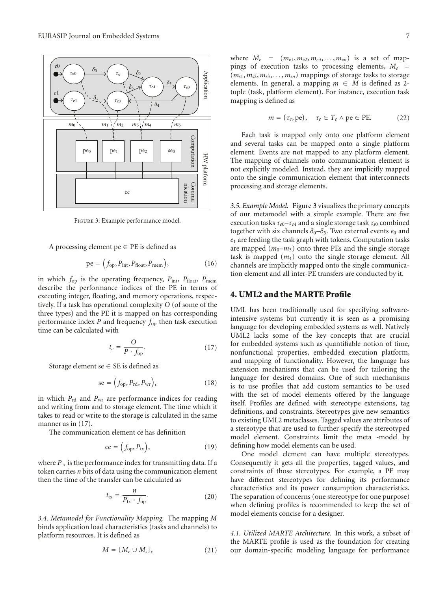

Figure 3: Example performance model.

A processing element  $pe \in PE$  is defined as

$$
pe = (f_{op}, P_{int}, P_{float}, P_{mem}), \t(16)
$$

in which  $f_{\text{op}}$  is the operating frequency,  $P_{\text{int}}$ ,  $P_{\text{float}}$ ,  $P_{\text{mem}}$ describe the performance indices of the PE in terms of executing integer, floating, and memory operations, respectively. If a task has operational complexity *O* (of some of the three types) and the PE it is mapped on has corresponding performance index *P* and frequency *f*op then task execution time can be calculated with

$$
t_e = \frac{O}{P \cdot f_{\rm op}}.\tag{17}
$$

Storage element se  $\in$  SE is defined as

$$
\text{se} = \left(f_{\text{op}}, P_{\text{rd}}, P_{\text{wr}}\right),\tag{18}
$$

in which  $P_{\text{rd}}$  and  $P_{\text{wr}}$  are performance indices for reading and writing from and to storage element. The time which it takes to read or write to the storage is calculated in the same manner as in  $(17)$ .

The communication element ce has definition

$$
\text{ce} = \left(f_{\text{op}}, P_{\text{tx}}\right),\tag{19}
$$

where  $P_{\text{tx}}$  is the performance index for transmitting data. If a token carries *n* bits of data using the communication element then the time of the transfer can be calculated as

$$
t_{\rm tx} = \frac{n}{P_{\rm tx} \cdot f_{\rm op}}.\tag{20}
$$

*3.4. Metamodel for Functionality Mapping.* The mapping *M* binds application load characteristics (tasks and channels) to platform resources. It is defined as

$$
M = \{M_e \cup M_s\},\tag{21}
$$

where  $M_e$  =  $(m_{e1}, m_{e2}, m_{e3}, \ldots, m_{en})$  is a set of mappings of execution tasks to processing elements,  $M_s$  =  $(m_{s1}, m_{s2}, m_{s3}, \ldots, m_{sn})$  mappings of storage tasks to storage elements. In general, a mapping  $m \in M$  is defined as 2tuple (task, platform element). For instance, execution task mapping is defined as

$$
m = (\tau_e, \text{pe}), \quad \tau_e \in T_e \land \text{pe} \in \text{PE.}
$$
 (22)

Each task is mapped only onto one platform element and several tasks can be mapped onto a single platform element. Events are not mapped to any platform element. The mapping of channels onto communication element is not explicitly modeled. Instead, they are implicitly mapped onto the single communication element that interconnects processing and storage elements.

*3.5. Example Model.* Figure 3 visualizes the primary concepts of our metamodel with a simple example. There are five execution tasks  $\tau_{e0} - \tau_{e4}$  and a single storage task  $\tau_{s0}$  combined together with six channels  $\delta_0$ – $\delta_5$ . Two external events  $e_0$  and *e*<sup>1</sup> are feeding the task graph with tokens. Computation tasks are mapped  $(m_0-m_3)$  onto three PEs and the single storage task is mapped (*m*4) onto the single storage element. All channels are implicitly mapped onto the single communication element and all inter-PE transfers are conducted by it.

#### **4. UML2 and the MARTE Profile**

UML has been traditionally used for specifying softwareintensive systems but currently it is seen as a promising language for developing embedded systems as well. Natively UML2 lacks some of the key concepts that are crucial for embedded systems such as quantifiable notion of time, nonfunctional properties, embedded execution platform, and mapping of functionality. However, the language has extension mechanisms that can be used for tailoring the language for desired domains. One of such mechanisms is to use profiles that add custom semantics to be used with the set of model elements offered by the language itself. Profiles are defined with stereotype extensions, tag definitions, and constraints. Stereotypes give new semantics to existing UML2 metaclasses. Tagged values are attributes of a stereotype that are used to further specify the stereotyped model element. Constraints limit the meta -model by defining how model elements can be used.

One model element can have multiple stereotypes. Consequently it gets all the properties, tagged values, and constraints of those stereotypes. For example, a PE may have different stereotypes for defining its performance characteristics and its power consumption characteristics. The separation of concerns (one stereotype for one purpose) when defining profiles is recommended to keep the set of model elements concise for a designer.

*4.1. Utilized MARTE Architecture.* In this work, a subset of the MARTE profile is used as the foundation for creating our domain-specific modeling language for performance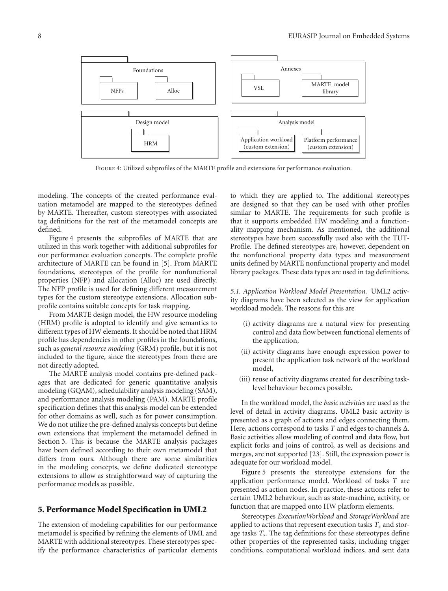

Figure 4: Utilized subprofiles of the MARTE profile and extensions for performance evaluation.

modeling. The concepts of the created performance evaluation metamodel are mapped to the stereotypes defined by MARTE. Thereafter, custom stereotypes with associated tag definitions for the rest of the metamodel concepts are defined.

Figure 4 presents the subprofiles of MARTE that are utilized in this work together with additional subprofiles for our performance evaluation concepts. The complete profile architecture of MARTE can be found in [5]. From MARTE foundations, stereotypes of the profile for nonfunctional properties (NFP) and allocation (Alloc) are used directly. The NFP profile is used for defining different measurement types for the custom stereotype extensions. Allocation subprofile contains suitable concepts for task mapping.

From MARTE design model, the HW resource modeling (HRM) profile is adopted to identify and give semantics to different types of HW elements. It should be noted that HRM profile has dependencies in other profiles in the foundations, such as *general resource modeling* (GRM) profile, but it is not included to the figure, since the stereotypes from there are not directly adopted.

The MARTE analysis model contains pre-defined packages that are dedicated for generic quantitative analysis modeling (GQAM), schedulability analysis modeling (SAM), and performance analysis modeling (PAM). MARTE profile specification defines that this analysis model can be extended for other domains as well, such as for power consumption. We do not utilize the pre-defined analysis concepts but define own extensions that implement the metamodel defined in Section 3. This is because the MARTE analysis packages have been defined according to their own metamodel that differs from ours. Although there are some similarities in the modeling concepts, we define dedicated stereotype extensions to allow as straightforward way of capturing the performance models as possible.

#### **5. Performance Model Specification in UML2**

The extension of modeling capabilities for our performance metamodel is specified by refining the elements of UML and MARTE with additional stereotypes. These stereotypes specify the performance characteristics of particular elements

to which they are applied to. The additional stereotypes are designed so that they can be used with other profiles similar to MARTE. The requirements for such profile is that it supports embedded HW modeling and a functionality mapping mechanism. As mentioned, the additional stereotypes have been successfully used also with the TUT-Profile. The defined stereotypes are, however, dependent on the nonfunctional property data types and measurement units defined by MARTE nonfunctional property and model library packages. These data types are used in tag definitions.

*5.1. Application Workload Model Presentation.* UML2 activity diagrams have been selected as the view for application workload models. The reasons for this are

- (i) activity diagrams are a natural view for presenting control and data flow between functional elements of the application,
- (ii) activity diagrams have enough expression power to present the application task network of the workload model,
- (iii) reuse of activity diagrams created for describing tasklevel behaviour becomes possible.

In the workload model, the *basic activities* are used as the level of detail in activity diagrams. UML2 basic activity is presented as a graph of actions and edges connecting them. Here, actions correspond to tasks *T* and edges to channels Δ. Basic activities allow modeling of control and data flow, but explicit forks and joins of control, as well as decisions and merges, are not supported [23]. Still, the expression power is adequate for our workload model.

Figure 5 presents the stereotype extensions for the application performance model. Workload of tasks *T* are presented as action nodes. In practice, these actions refer to certain UML2 behaviour, such as state-machine, activity, or function that are mapped onto HW platform elements.

Stereotypes *ExecutionWorkload* and *StorageWorkload* are applied to actions that represent execution tasks  $T_e$  and storage tasks *Ts*. The tag definitions for these stereotypes define other properties of the represented tasks, including trigger conditions, computational workload indices, and sent data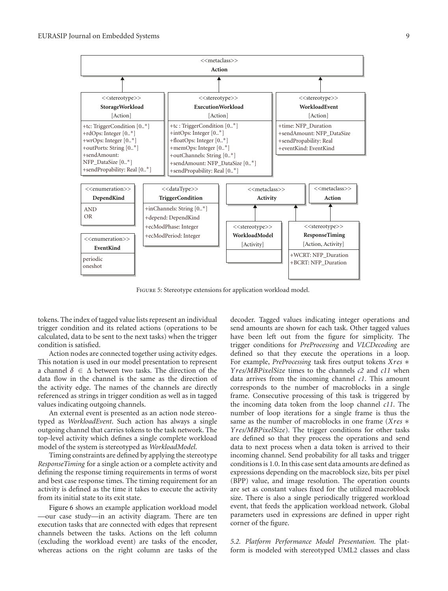

Figure 5: Stereotype extensions for application workload model.

tokens. The index of tagged value lists represent an individual trigger condition and its related actions (operations to be calculated, data to be sent to the next tasks) when the trigger condition is satisfied.

Action nodes are connected together using activity edges. This notation is used in our model presentation to represent a channel  $\delta \in \Delta$  between two tasks. The direction of the data flow in the channel is the same as the direction of the activity edge. The names of the channels are directly referenced as strings in trigger condition as well as in tagged values indicating outgoing channels.

An external event is presented as an action node stereotyped as *WorkloadEvent*. Such action has always a single outgoing channel that carries tokens to the task network. The top-level activity which defines a single complete workload model of the system is stereotyped as *WorkloadModel*.

Timing constraints are defined by applying the stereotype *ResponseTiming* for a single action or a complete activity and defining the response timing requirements in terms of worst and best case response times. The timing requirement for an activity is defined as the time it takes to execute the activity from its initial state to its exit state.

Figure 6 shows an example application workload model —our case study—in an activity diagram. There are ten execution tasks that are connected with edges that represent channels between the tasks. Actions on the left column (excluding the workload event) are tasks of the encoder, whereas actions on the right column are tasks of the

decoder. Tagged values indicating integer operations and send amounts are shown for each task. Other tagged values have been left out from the figure for simplicity. The trigger conditions for *PreProcessing* and *VLCDecoding* are defined so that they execute the operations in a loop. For example, *PreProcessing* task fires output tokens *Xres* <sup>∗</sup> *Y res/MBPixelSize* times to the channels *c2* and *c11* when data arrives from the incoming channel *c1*. This amount corresponds to the number of macroblocks in a single frame. Consecutive processing of this task is triggered by the incoming data token from the loop channel *c11*. The number of loop iterations for a single frame is thus the same as the number of macroblocks in one frame (*Xres* <sup>∗</sup> *Y res/MBPixelSize*). The trigger conditions for other tasks are defined so that they process the operations and send data to next process when a data token is arrived to their incoming channel. Send probability for all tasks and trigger conditions is 1*.*0. In this case sent data amounts are defined as expressions depending on the macroblock size, bits per pixel (BPP) value, and image resolution. The operation counts are set as constant values fixed for the utilized macroblock size. There is also a single periodically triggered workload event, that feeds the application workload network. Global parameters used in expressions are defined in upper right corner of the figure.

*5.2. Platform Performance Model Presentation.* The platform is modeled with stereotyped UML2 classes and class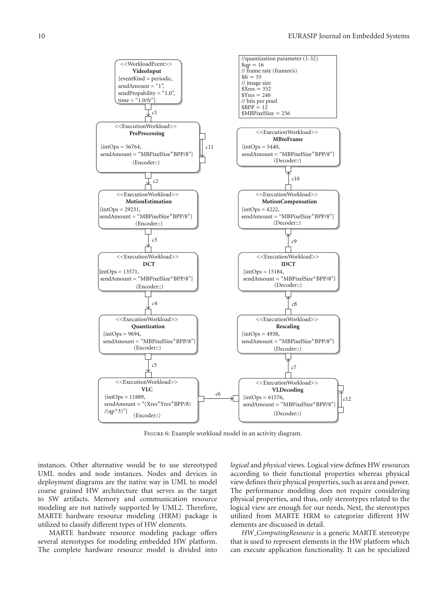

Figure 6: Example workload model in an activity diagram.

instances. Other alternative would be to use stereotyped UML nodes and node instances. Nodes and devices in deployment diagrams are the native way in UML to model coarse grained HW architecture that serves as the target to SW artifacts. Memory and communication resource modeling are not natively supported by UML2. Therefore, MARTE hardware resource modeling (HRM) package is utilized to classify different types of HW elements.

MARTE hardware resource modeling package offers several stereotypes for modeling embedded HW platform. The complete hardware resource model is divided into

*logical* and *physical* views. Logical view defines HW resources according to their functional properties whereas physical view defines their physical properties, such as area and power. The performance modeling does not require considering physical properties, and thus, only stereotypes related to the logical view are enough for our needs. Next, the stereotypes utilized from MARTE HRM to categorize different HW elements are discussed in detail.

*HW ComputingResource* is a generic MARTE stereotype that is used to represent elements in the HW platform which can execute application functionality. It can be specialized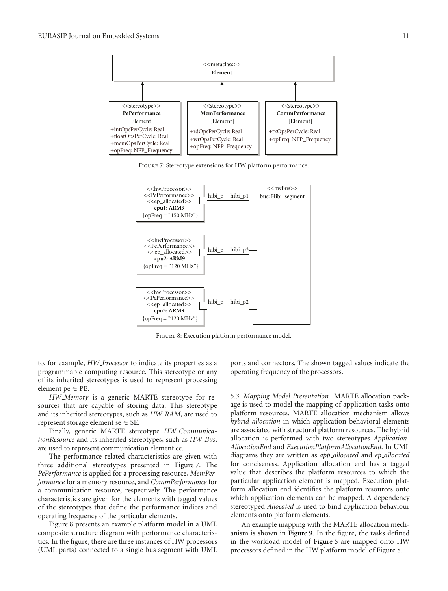

Figure 7: Stereotype extensions for HW platform performance.



Figure 8: Execution platform performance model.

to, for example, *HW Processor* to indicate its properties as a programmable computing resource. This stereotype or any of its inherited stereotypes is used to represent processing element pe  $\in$  PE.

*HW Memory* is a generic MARTE stereotype for resources that are capable of storing data. This stereotype and its inherited stereotypes, such as *HW RAM*, are used to represent storage element se  $\in$  SE.

Finally, generic MARTE stereotype *HW CommunicationResource* and its inherited stereotypes, such as *HW Bus*, are used to represent communication element ce.

The performance related characteristics are given with three additional stereotypes presented in Figure 7. The *PePerformance* is applied for a processing resource, *MemPerformance* for a memory resource, and *CommPerformance* for a communication resource, respectively. The performance characteristics are given for the elements with tagged values of the stereotypes that define the performance indices and operating frequency of the particular elements.

Figure 8 presents an example platform model in a UML composite structure diagram with performance characteristics. In the figure, there are three instances of HW processors (UML parts) connected to a single bus segment with UML

ports and connectors. The shown tagged values indicate the operating frequency of the processors.

*5.3. Mapping Model Presentation.* MARTE allocation package is used to model the mapping of application tasks onto platform resources. MARTE allocation mechanism allows *hybrid allocation* in which application behavioral elements are associated with structural platform resources. The hybrid allocation is performed with two stereotypes *Application-AllocationEnd* and *ExecutionPlatformAllocationEnd*. In UML diagrams they are written as *app allocated* and *ep allocated* for conciseness. Application allocation end has a tagged value that describes the platform resources to which the particular application element is mapped. Execution platform allocation end identifies the platform resources onto which application elements can be mapped. A dependency stereotyped *Allocated* is used to bind application behaviour elements onto platform elements.

An example mapping with the MARTE allocation mechanism is shown in Figure 9. In the figure, the tasks defined in the workload model of Figure 6 are mapped onto HW processors defined in the HW platform model of Figure 8.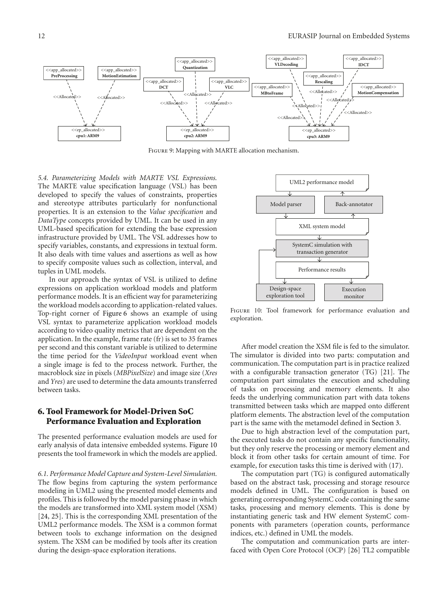

Figure 9: Mapping with MARTE allocation mechanism.

*5.4. Parameterizing Models with MARTE VSL Expressions.* The MARTE value specification language (VSL) has been developed to specify the values of constraints, properties and stereotype attributes particularly for nonfunctional properties. It is an extension to the *Value specification* and *DataType* concepts provided by UML. It can be used in any UML-based specification for extending the base expression infrastructure provided by UML. The VSL addresses how to specify variables, constants, and expressions in textual form. It also deals with time values and assertions as well as how to specify composite values such as collection, interval, and tuples in UML models.

In our approach the syntax of VSL is utilized to define expressions on application workload models and platform performance models. It is an efficient way for parameterizing the workload models according to application-related values. Top-right corner of Figure 6 shows an example of using VSL syntax to parameterize application workload models according to video quality metrics that are dependent on the application. In the example, frame rate (fr) is set to 35 frames per second and this constant variable is utilized to determine the time period for the *VideoInput* workload event when a single image is fed to the process network. Further, the macroblock size in pixels (*MBPixelSize*) and image size (*Xres* and *Yres*) are used to determine the data amounts transferred between tasks.

## **6. Tool Framework for Model-Driven SoC Performance Evaluation and Exploration**

The presented performance evaluation models are used for early analysis of data intensive embedded systems. Figure 10 presents the tool framework in which the models are applied.

*6.1. Performance Model Capture and System-Level Simulation.* The flow begins from capturing the system performance modeling in UML2 using the presented model elements and profiles. This is followed by the model parsing phase in which the models are transformed into XML system model (XSM) [24, 25]. This is the corresponding XML presentation of the UML2 performance models. The XSM is a common format between tools to exchange information on the designed system. The XSM can be modified by tools after its creation during the design-space exploration iterations.



FIGURE 10: Tool framework for performance evaluation and exploration.

After model creation the XSM file is fed to the simulator. The simulator is divided into two parts: computation and communication. The computation part is in practice realized with a configurable transaction generator (TG) [21]. The computation part simulates the execution and scheduling of tasks on processing and memory elements. It also feeds the underlying communication part with data tokens transmitted between tasks which are mapped onto different platform elements. The abstraction level of the computation part is the same with the metamodel defined in Section 3.

Due to high abstraction level of the computation part, the executed tasks do not contain any specific functionality, but they only reserve the processing or memory element and block it from other tasks for certain amount of time. For example, for execution tasks this time is derived with (17).

The computation part (TG) is configured automatically based on the abstract task, processing and storage resource models defined in UML. The configuration is based on generating corresponding SystemC code containing the same tasks, processing and memory elements. This is done by instantiating generic task and HW element SystemC components with parameters (operation counts, performance indices, etc.) defined in UML the models.

The computation and communication parts are interfaced with Open Core Protocol (OCP) [26] TL2 compatible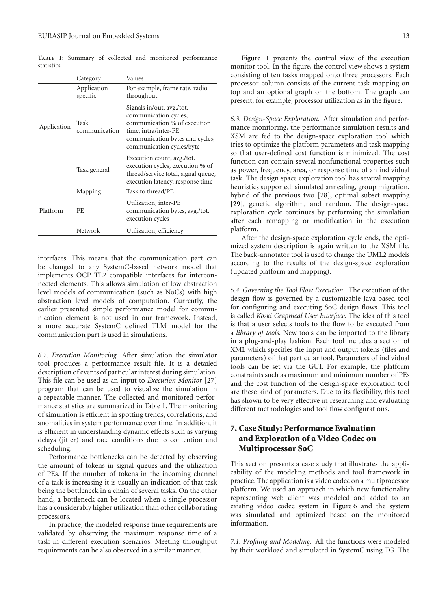Table 1: Summary of collected and monitored performance statistics.

|             | Category                | Values                                                                                                                                                                     |
|-------------|-------------------------|----------------------------------------------------------------------------------------------------------------------------------------------------------------------------|
| Application | Application<br>specific | For example, frame rate, radio<br>throughput                                                                                                                               |
|             | Task<br>communication   | Signals in/out, avg./tot.<br>communication cycles,<br>communication % of execution<br>time, intra/inter-PE<br>communication bytes and cycles,<br>communication cycles/byte |
|             | Task general            | Execution count, avg./tot.<br>execution cycles, execution % of<br>thread/service total, signal queue,<br>execution latency, response time                                  |
| Platform    | Mapping                 | Task to thread/PE                                                                                                                                                          |
|             | PE                      | Utilization, inter-PE<br>communication bytes, avg./tot.<br>execution cycles                                                                                                |
|             | Network                 | Utilization, efficiency                                                                                                                                                    |

interfaces. This means that the communication part can be changed to any SystemC-based network model that implements OCP TL2 compatible interfaces for interconnected elements. This allows simulation of low abstraction level models of communication (such as NoCs) with high abstraction level models of computation. Currently, the earlier presented simple performance model for communication element is not used in our framework. Instead, a more accurate SystemC defined TLM model for the communication part is used in simulations.

*6.2. Execution Monitoring.* After simulation the simulator tool produces a performance result file. It is a detailed description of events of particular interest during simulation. This file can be used as an input to *Execution Monitor* [27] program that can be used to visualize the simulation in a repeatable manner. The collected and monitored performance statistics are summarized in Table 1. The monitoring of simulation is efficient in spotting trends, correlations, and anomalities in system performance over time. In addition, it is efficient in understanding dynamic effects such as varying delays (jitter) and race conditions due to contention and scheduling.

Performance bottlenecks can be detected by observing the amount of tokens in signal queues and the utilization of PEs. If the number of tokens in the incoming channel of a task is increasing it is usually an indication of that task being the bottleneck in a chain of several tasks. On the other hand, a bottleneck can be located when a single processor has a considerably higher utilization than other collaborating processors.

In practice, the modeled response time requirements are validated by observing the maximum response time of a task in different execution scenarios. Meeting throughput requirements can be also observed in a similar manner.

Figure 11 presents the control view of the execution monitor tool. In the figure, the control view shows a system consisting of ten tasks mapped onto three processors. Each processor column consists of the current task mapping on top and an optional graph on the bottom. The graph can present, for example, processor utilization as in the figure.

*6.3. Design-Space Exploration.* After simulation and performance monitoring, the performance simulation results and XSM are fed to the design-space exploration tool which tries to optimize the platform parameters and task mapping so that user-defined cost function is minimized. The cost function can contain several nonfunctional properties such as power, frequency, area, or response time of an individual task. The design space exploration tool has several mapping heuristics supported: simulated annealing, group migration, hybrid of the previous two [28], optimal subset mapping [29], genetic algorithm, and random. The design-space exploration cycle continues by performing the simulation after each remapping or modification in the execution platform.

After the design-space exploration cycle ends, the optimized system description is again written to the XSM file. The back-annotator tool is used to change the UML2 models according to the results of the design-space exploration (updated platform and mapping).

*6.4. Governing the Tool Flow Execution.* The execution of the design flow is governed by a customizable Java-based tool for configuring and executing SoC design flows. This tool is called *Koski Graphical User Interface.* The idea of this tool is that a user selects tools to the flow to be executed from a *library of tools*. New tools can be imported to the library in a plug-and-play fashion. Each tool includes a section of XML which specifies the input and output tokens (files and parameters) of that particular tool. Parameters of individual tools can be set via the GUI. For example, the platform constraints such as maximum and minimum number of PEs and the cost function of the design-space exploration tool are these kind of parameters. Due to its flexibility, this tool has shown to be very effective in researching and evaluating different methodologies and tool flow configurations.

# **7. Case Study: Performance Evaluation and Exploration of a Video Codec on Multiprocessor SoC**

This section presents a case study that illustrates the applicability of the modeling methods and tool framework in practice. The application is a video codec on a multiprocessor platform. We used an approach in which new functionality representing web client was modeled and added to an existing video codec system in Figure 6 and the system was simulated and optimized based on the monitored information.

*7.1. Profiling and Modeling.* All the functions were modeled by their workload and simulated in SystemC using TG. The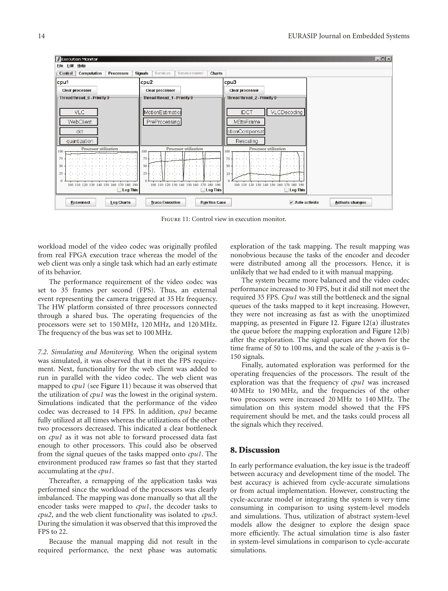

Figure 11: Control view in execution monitor.

workload model of the video codec was originally profiled from real FPGA execution trace whereas the model of the web client was only a single task which had an early estimate of its behavior.

The performance requirement of the video codec was set to 35 frames per second (FPS). Thus, an external event representing the camera triggered at 35 Hz frequency. The HW platform consisted of three processors connected through a shared bus. The operating frequencies of the processors were set to 150 MHz, 120 MHz, and 120 MHz. The frequency of the bus was set to 100 MHz.

*7.2. Simulating and Monitoring.* When the original system was simulated, it was observed that it met the FPS requirement. Next, functionality for the web client was added to run in parallel with the video codec. The web client was mapped to *cpu1* (see Figure 11) because it was observed that the utilization of *cpu1* was the lowest in the original system. Simulations indicated that the performance of the video codec was decreased to 14 FPS. In addition, *cpu1* became fully utilized at all times whereas the utilizations of the other two processors decreased. This indicated a clear bottleneck on *cpu1* as it was not able to forward processed data fast enough to other processors. This could also be observed from the signal queues of the tasks mapped onto *cpu1*. The environment produced raw frames so fast that they started accumulating at the *cpu1*.

Thereafter, a remapping of the application tasks was performed since the workload of the processors was clearly imbalanced. The mapping was done manually so that all the encoder tasks were mapped to *cpu1*, the decoder tasks to *cpu2*, and the web client functionality was isolated to *cpu3*. During the simulation it was observed that this improved the FPS to 22.

Because the manual mapping did not result in the required performance, the next phase was automatic

exploration of the task mapping. The result mapping was nonobvious because the tasks of the encoder and decoder were distributed among all the processors. Hence, it is unlikely that we had ended to it with manual mapping.

The system became more balanced and the video codec performance increased to 30 FPS, but it did still not meet the required 35 FPS. *Cpu1* was still the bottleneck and the signal queues of the tasks mapped to it kept increasing. However, they were not increasing as fast as with the unoptimized mapping, as presented in Figure 12. Figure 12(a) illustrates the queue before the mapping exploration and Figure 12(b) after the exploration. The signal queues are shown for the time frame of 50 to 100 ms, and the scale of the *y*-axis is 0– 150 signals.

Finally, automated exploration was performed for the operating frequencies of the processors. The result of the exploration was that the frequency of *cpu1* was increased 40 MHz to 190 MHz, and the frequencies of the other two processors were increased 20 MHz to 140 MHz. The simulation on this system model showed that the FPS requirement should be met, and the tasks could process all the signals which they received.

#### **8. Discussion**

In early performance evaluation, the key issue is the tradeoff between accuracy and development time of the model. The best accuracy is achieved from cycle-accurate simulations or from actual implementation. However, constructing the cycle-accurate model or integrating the system is very time consuming in comparison to using system-level models and simulations. Thus, utilization of abstract system-level models allow the designer to explore the design space more efficiently. The actual simulation time is also faster in system-level simulations in comparison to cycle-accurate simulations.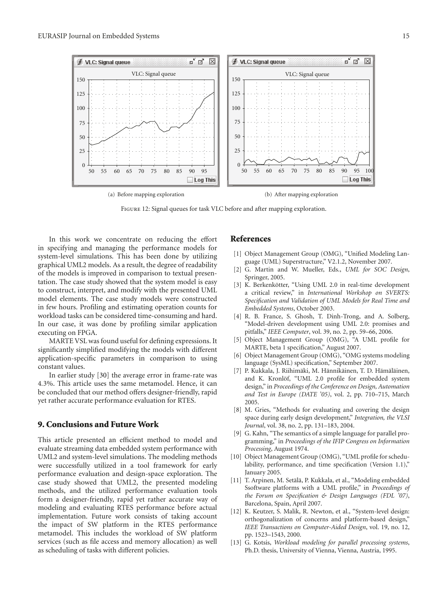

Figure 12: Signal queues for task VLC before and after mapping exploration.

In this work we concentrate on reducing the effort in specifying and managing the performance models for system-level simulations. This has been done by utilizing graphical UML2 models. As a result, the degree of readability of the models is improved in comparison to textual presentation. The case study showed that the system model is easy to construct, interpret, and modify with the presented UML model elements. The case study models were constructed in few hours. Profiling and estimating operation counts for workload tasks can be considered time-consuming and hard. In our case, it was done by profiling similar application executing on FPGA.

MARTE VSL was found useful for defining expressions. It significantly simplified modifying the models with different application-specific parameters in comparison to using constant values.

In earlier study [30] the average error in frame-rate was 4*.*3%. This article uses the same metamodel. Hence, it can be concluded that our method offers designer-friendly, rapid yet rather accurate performance evaluation for RTES.

#### **9. Conclusions and Future Work**

This article presented an efficient method to model and evaluate streaming data embedded system performance with UML2 and system-level simulations. The modeling methods were successfully utilized in a tool framework for early performance evaluation and design-space exploration. The case study showed that UML2, the presented modeling methods, and the utilized performance evaluation tools form a designer-friendly, rapid yet rather accurate way of modeling and evaluating RTES performance before actual implementation. Future work consists of taking account the impact of SW platform in the RTES performance metamodel. This includes the workload of SW platform services (such as file access and memory allocation) as well as scheduling of tasks with different policies.

#### **References**

- [1] Object Management Group (OMG), "Unified Modeling Language (UML) Superstructure," V2.1.2, November 2007.
- [2] G. Martin and W. Mueller, Eds., *UML for SOC Design*, Springer, 2005.
- [3] K. Berkenkötter, "Using UML 2.0 in real-time development a critical review," in *International Workshop on SVERTS: Specification and Validation of UML Models for Real Time and Embedded Systems*, October 2003.
- [4] R. B. France, S. Ghosh, T. Dinh-Trong, and A. Solberg, "Model-driven development using UML 2.0: promises and pitfalls," *IEEE Computer*, vol. 39, no. 2, pp. 59–66, 2006.
- [5] Object Management Group (OMG), "A UML profile for MARTE, beta 1 specification," August 2007.
- [6] Object Management Group (OMG), "OMG systems modeling language (SysML) specification," September 2007.
- [7] P. Kukkala, J. Riihimäki, M. Hännikäinen, T. D. Hämäläinen, and K. Kronlöf, "UML 2.0 profile for embedded system design," in *Proceedings of the Conference on Design, Automation and Test in Europe (DATE '05)*, vol. 2, pp. 710–715, March 2005.
- [8] M. Gries, "Methods for evaluating and covering the design space during early design development," *Integration, the VLSI Journal*, vol. 38, no. 2, pp. 131–183, 2004.
- [9] G. Kahn, "The semantics of a simple language for parallel programming," in *Proceedings of the IFIP Congress on Information Processing*, August 1974.
- [10] Object Management Group (OMG), "UML profile for schedulability, performance, and time specification (Version 1.1)," January 2005.
- [11] T. Arpinen, M. Setälä, P. Kukkala, et al., "Modeling embedded Ssoftware platforms with a UML profile," in *Proceedings of the Forum on Specification & Design Languages (FDL '07)*, Barcelona, Spain, April 2007.
- [12] K. Keutzer, S. Malik, R. Newton, et al., "System-level design: orthogonalization of concerns and platform-based design," *IEEE Transactions on Computer-Aided Design*, vol. 19, no. 12, pp. 1523–1543, 2000.
- [13] G. Kotsis, *Workload modeling for parallel processing systems*, Ph.D. thesis, University of Vienna, Vienna, Austria, 1995.